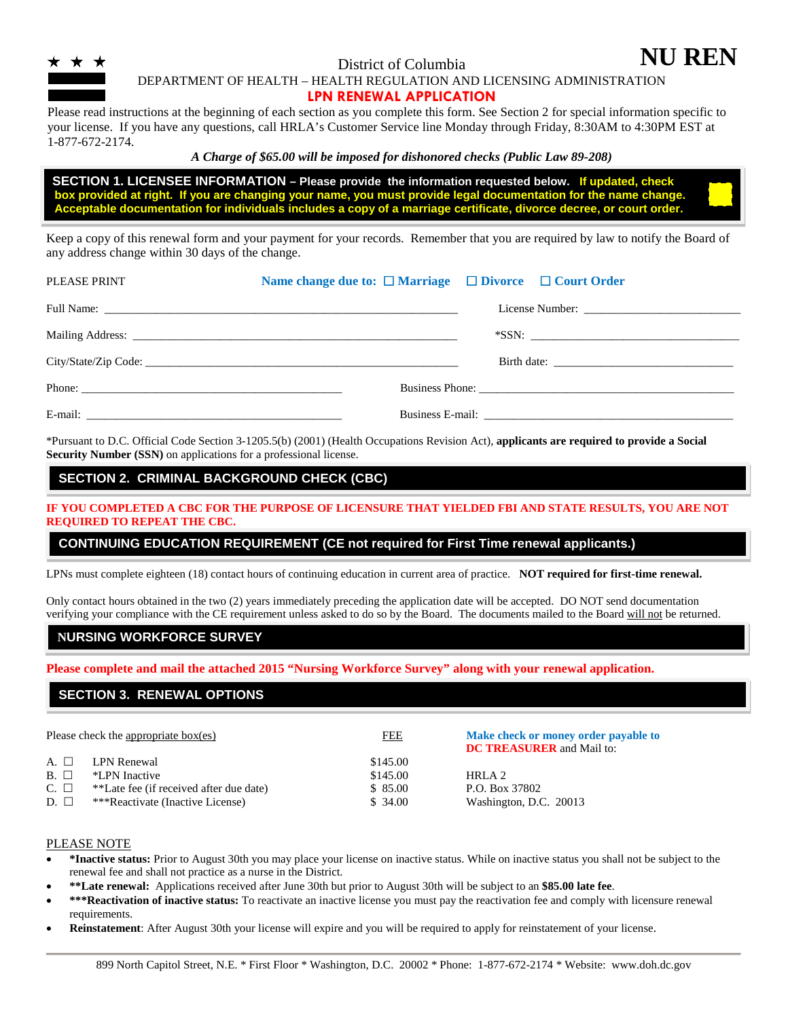

## District of Columbia

DEPARTMENT OF HEALTH – HEALTH REGULATION AND LICENSING ADMINISTRATION

**NU REN**

#### **LPN RENEWAL APPLICATION**

Please read instructions at the beginning of each section as you complete this form. See Section 2 for special information specific to your license. If you have any questions, call HRLA's Customer Service line Monday through Friday, 8:30AM to 4:30PM EST at 1-877-672-2174.

#### *A Charge of \$65.00 will be imposed for dishonored checks (Public Law 89-208)*

 **SECTION 1. LICENSEE INFORMATION – Please provide the information requested below. If updated, check box provided at right. If you are changing your name, you must provide legal documentation for the name change. Acceptable documentation for individuals includes a copy of a marriage certificate, divorce decree, or court order.** 

Keep a copy of this renewal form and your payment for your records. Remember that you are required by law to notify the Board of any address change within 30 days of the change.

| PLEASE PRINT | Name change due to: $\Box$ Marriage $\Box$ Divorce $\Box$ Court Order |  |  |
|--------------|-----------------------------------------------------------------------|--|--|
|              |                                                                       |  |  |
|              |                                                                       |  |  |
|              |                                                                       |  |  |
|              |                                                                       |  |  |
|              |                                                                       |  |  |

\*Pursuant to D.C. Official Code Section 3-1205.5(b) (2001) (Health Occupations Revision Act), **applicants are required to provide a Social Security Number (SSN)** on applications for a professional license.

#### **SECTION 2. CRIMINAL BACKGROUND CHECK (CBC)**

**IF YOU COMPLETED A CBC FOR THE PURPOSE OF LICENSURE THAT YIELDED FBI AND STATE RESULTS, YOU ARE NOT REQUIRED TO REPEAT THE CBC.**

#### **CONTINUING EDUCATION REQUIREMENT (CE not required for First Time renewal applicants.)**

LPNs must complete eighteen (18) contact hours of continuing education in current area of practice. **NOT required for first-time renewal.**

Only contact hours obtained in the two (2) years immediately preceding the application date will be accepted. DO NOT send documentation verifying your compliance with the CE requirement unless asked to do so by the Board. The documents mailed to the Board will not be returned.

## **NURSING WORKFORCE SURVEY**

**Please complete and mail the attached 2015 "Nursing Workforce Survey" along with your renewal application.**

## **SECTION 3. RENEWAL OPTIONS**

|           | Please check the appropriate box(es)    | <b>FEE</b> | Make check or money order payable to<br><b>DC TREASURER</b> and Mail to: |
|-----------|-----------------------------------------|------------|--------------------------------------------------------------------------|
| A. $\Box$ | LPN Renewal                             | \$145.00   |                                                                          |
| $B. \Box$ | *LPN Inactive                           | \$145.00   | HRLA 2                                                                   |
| $C. \Box$ | **Late fee (if received after due date) | \$85.00    | P.O. Box 37802                                                           |
| $D. \Box$ | ***Reactivate (Inactive License)        | \$34.00    | Washington, D.C. 20013                                                   |

#### PLEASE NOTE

- **\*Inactive status:** Prior to August 30th you may place your license on inactive status. While on inactive status you shall not be subject to the renewal fee and shall not practice as a nurse in the District.
- **\*\*Late renewal:** Applications received after June 30th but prior to August 30th will be subject to an **\$85.00 late fee**.
- **\*\*\*Reactivation of inactive status:** To reactivate an inactive license you must pay the reactivation fee and comply with licensure renewal requirements.
- **Reinstatement**: After August 30th your license will expire and you will be required to apply for reinstatement of your license.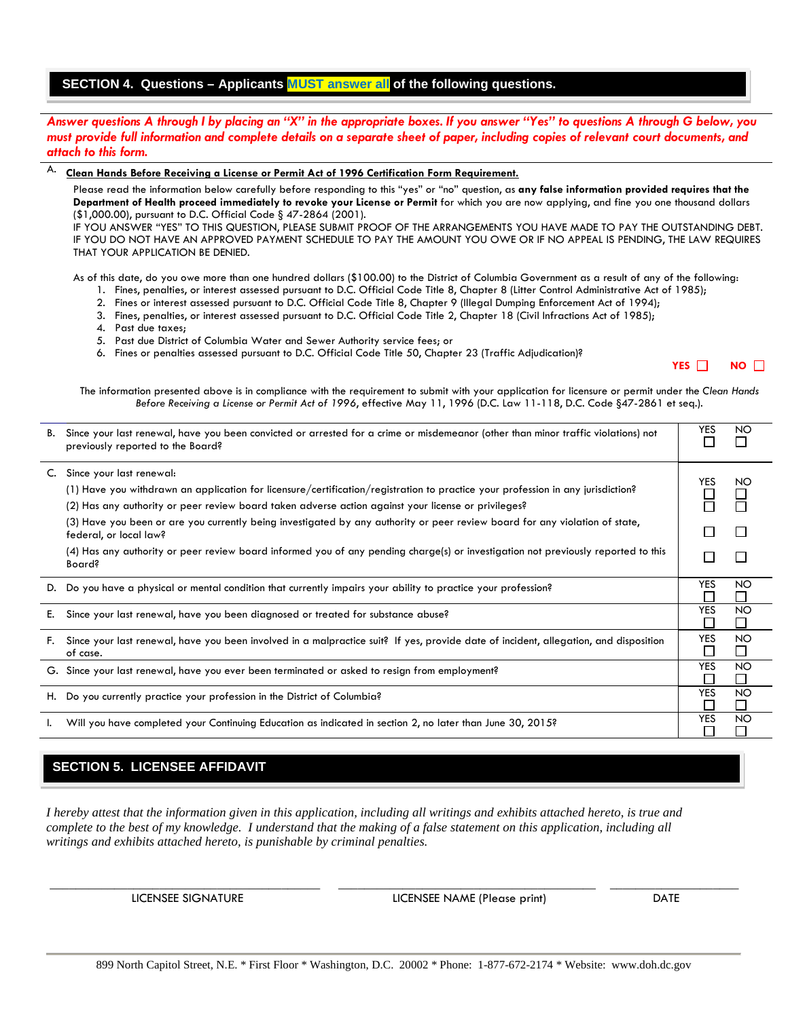## **SECTION 4. Questions – Applicants MUST answer all of the following questions.**

#### *Answer questions A through I by placing an "X" in the appropriate boxes. If you answer "Yes" to questions A through G below, you must provide full information and complete details on a separate sheet of paper, including copies of relevant court documents, and attach to this form.*

#### A. **Clean Hands Before Receiving a License or Permit Act of 1996 Certification Form Requirement.**

Please read the information below carefully before responding to this "yes" or "no" question, as **any false information provided requires that the Department of Health proceed immediately to revoke your License or Permit** for which you are now applying, and fine you one thousand dollars (\$1,000.00), pursuant to D.C. Official Code § 47-2864 (2001).

IF YOU ANSWER "YES" TO THIS QUESTION, PLEASE SUBMIT PROOF OF THE ARRANGEMENTS YOU HAVE MADE TO PAY THE OUTSTANDING DEBT. IF YOU DO NOT HAVE AN APPROVED PAYMENT SCHEDULE TO PAY THE AMOUNT YOU OWE OR IF NO APPEAL IS PENDING, THE LAW REQUIRES THAT YOUR APPLICATION BE DENIED.

As of this date, do you owe more than one hundred dollars (\$100.00) to the District of Columbia Government as a result of any of the following:

- 1. Fines, penalties, or interest assessed pursuant to D.C. Official Code Title 8, Chapter 8 (Litter Control Administrative Act of 1985);
- 2. Fines or interest assessed pursuant to D.C. Official Code Title 8, Chapter 9 (Illegal Dumping Enforcement Act of 1994);
- 3. Fines, penalties, or interest assessed pursuant to D.C. Official Code Title 2, Chapter 18 (Civil Infractions Act of 1985);
- 4. Past due taxes;
- 5. Past due District of Columbia Water and Sewer Authority service fees; or
- 6. Fines or penalties assessed pursuant to D.C. Official Code Title 50, Chapter 23 (Traffic Adjudication)?

**YES NO** □

The information presented above is in compliance with the requirement to submit with your application for licensure or permit under the *Clean Hands Before Receiving a License or Permit Act of 1996*, effective May 11, 1996 (D.C. Law 11-118, D.C. Code §47-2861 et seq.).

|    | B. Since your last renewal, have you been convicted or arrested for a crime or misdemeanor (other than minor traffic violations) not<br>previously reported to the Board?                                                                                                                                                                                                                                                      |            | NO                        |
|----|--------------------------------------------------------------------------------------------------------------------------------------------------------------------------------------------------------------------------------------------------------------------------------------------------------------------------------------------------------------------------------------------------------------------------------|------------|---------------------------|
|    | C. Since your last renewal:<br>(1) Have you withdrawn an application for licensure/certification/registration to practice your profession in any jurisdiction?<br>(2) Has any authority or peer review board taken adverse action against your license or privileges?<br>(3) Have you been or are you currently being investigated by any authority or peer review board for any violation of state,<br>federal, or local law? | YES.       | NO                        |
|    | (4) Has any authority or peer review board informed you of any pending charge(s) or investigation not previously reported to this<br><b>Board?</b>                                                                                                                                                                                                                                                                             |            |                           |
|    | D. Do you have a physical or mental condition that currently impairs your ability to practice your profession?                                                                                                                                                                                                                                                                                                                 | <b>YES</b> | <b>NO</b><br>$\mathsf{L}$ |
|    | E. Since your last renewal, have you been diagnosed or treated for substance abuse?                                                                                                                                                                                                                                                                                                                                            | <b>YES</b> | <b>NO</b><br>$\mathsf{L}$ |
| F. | Since your last renewal, have you been involved in a malpractice suit? If yes, provide date of incident, allegation, and disposition<br>of case.                                                                                                                                                                                                                                                                               | YES.       | NO.<br>$\perp$            |
|    | G. Since your last renewal, have you ever been terminated or asked to resign from employment?                                                                                                                                                                                                                                                                                                                                  | <b>YES</b> | NO.<br>$\mathsf{L}$       |
|    | H. Do you currently practice your profession in the District of Columbia?                                                                                                                                                                                                                                                                                                                                                      | <b>YES</b> | <b>NO</b><br>$\mathsf{L}$ |
|    | Will you have completed your Continuing Education as indicated in section 2, no later than June 30, 2015?                                                                                                                                                                                                                                                                                                                      | <b>YES</b> | <b>NO</b>                 |

## **SECTION 5. LICENSEE AFFIDAVIT**

*I hereby attest that the information given in this application, including all writings and exhibits attached hereto, is true and complete to the best of my knowledge. I understand that the making of a false statement on this application, including all writings and exhibits attached hereto, is punishable by criminal penalties.*

LICENSEE SIGNATURE LICENSEE NAME (Please print) DATE

\_\_\_\_\_\_\_\_\_\_\_\_\_\_\_\_\_\_\_\_\_\_\_\_\_\_\_\_\_\_\_\_\_\_\_\_\_\_\_\_\_\_ \_\_\_\_\_\_\_\_\_\_\_\_\_\_\_\_\_\_\_\_\_\_\_\_\_\_\_\_\_\_\_\_\_\_\_\_\_\_\_\_ \_\_\_\_\_\_\_\_\_\_\_\_\_\_\_\_\_\_\_\_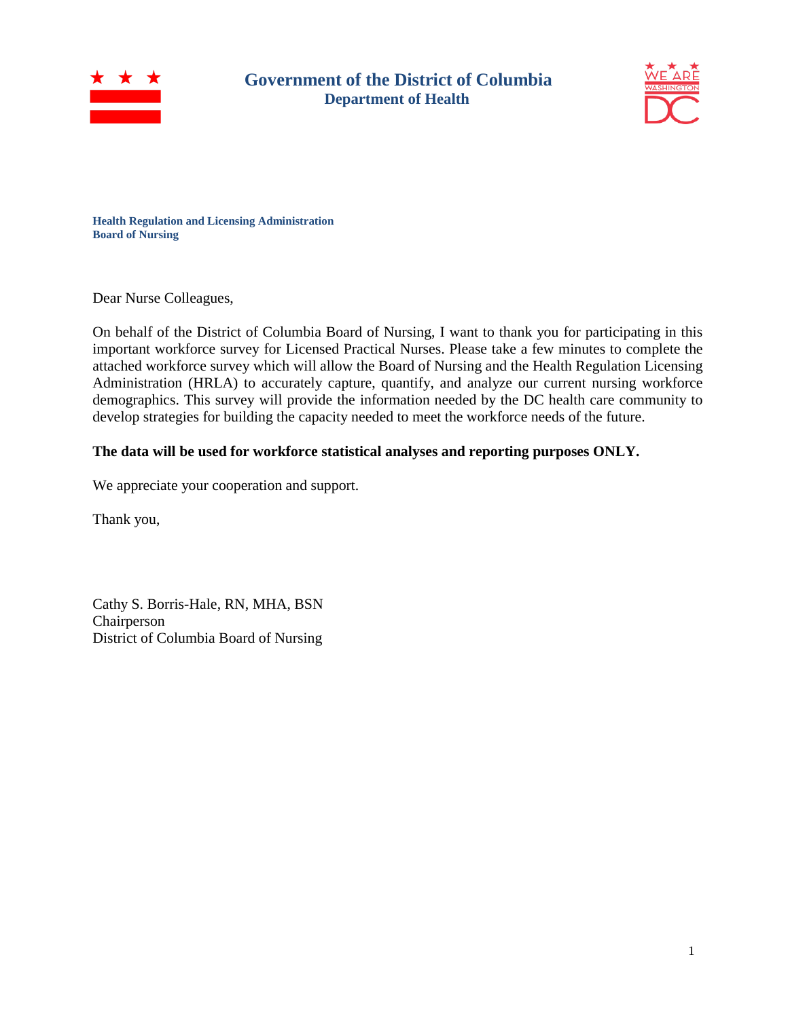

## **Government of the District of Columbia Department of Health**



**Health Regulation and Licensing Administration Board of Nursing**

Dear Nurse Colleagues,

On behalf of the District of Columbia Board of Nursing, I want to thank you for participating in this important workforce survey for Licensed Practical Nurses. Please take a few minutes to complete the attached workforce survey which will allow the Board of Nursing and the Health Regulation Licensing Administration (HRLA) to accurately capture, quantify, and analyze our current nursing workforce demographics. This survey will provide the information needed by the DC health care community to develop strategies for building the capacity needed to meet the workforce needs of the future.

## **The data will be used for workforce statistical analyses and reporting purposes ONLY.**

We appreciate your cooperation and support.

Thank you,

Cathy S. Borris-Hale, RN, MHA, BSN Chairperson District of Columbia Board of Nursing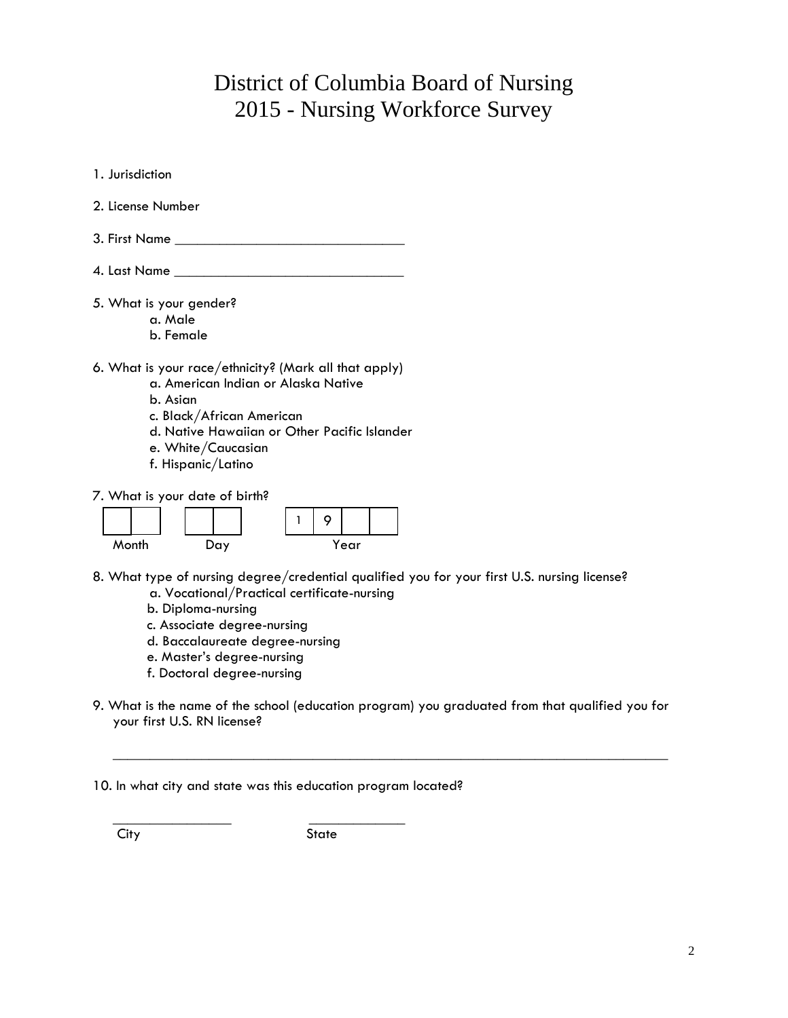# District of Columbia Board of Nursing 2015 - Nursing Workforce Survey

| 1. Jurisdiction                                                                                                                                                                                                                   |
|-----------------------------------------------------------------------------------------------------------------------------------------------------------------------------------------------------------------------------------|
| 2. License Number                                                                                                                                                                                                                 |
| $3.$ First Name $\rule{1em}{0.15mm}$                                                                                                                                                                                              |
| 4. Last Name _____                                                                                                                                                                                                                |
| 5. What is your gender?<br>a. Male<br>b. Female                                                                                                                                                                                   |
| 6. What is your race/ethnicity? (Mark all that apply)<br>a. American Indian or Alaska Native<br>h. Asian<br>c. Black/African American<br>d. Native Hawaiian or Other Pacific Islander<br>e. White/Caucasian<br>f. Hispanic/Latino |
| 7. What is your date of birth?                                                                                                                                                                                                    |

8. What type of nursing degree/credential qualified you for your first U.S. nursing license? a. Vocational/Practical certificate-nursing

9

1

- b. Diploma-nursing
- c. Associate degree-nursing

Month Day Year

- d. Baccalaureate degree-nursing
- e. Master's degree-nursing
- f. Doctoral degree-nursing
- 9. What is the name of the school (education program) you graduated from that qualified you for your first U.S. RN license?

 $\overline{\phantom{a}}$  , and the contract of the contract of the contract of the contract of the contract of the contract of the contract of the contract of the contract of the contract of the contract of the contract of the contrac

## 10. In what city and state was this education program located?

 $\overline{\phantom{a}}$  ,  $\overline{\phantom{a}}$  ,  $\overline{\phantom{a}}$  ,  $\overline{\phantom{a}}$  ,  $\overline{\phantom{a}}$  ,  $\overline{\phantom{a}}$  ,  $\overline{\phantom{a}}$  ,  $\overline{\phantom{a}}$  ,  $\overline{\phantom{a}}$  ,  $\overline{\phantom{a}}$  ,  $\overline{\phantom{a}}$  ,  $\overline{\phantom{a}}$  ,  $\overline{\phantom{a}}$  ,  $\overline{\phantom{a}}$  ,  $\overline{\phantom{a}}$  ,  $\overline{\phantom{a}}$ 

City State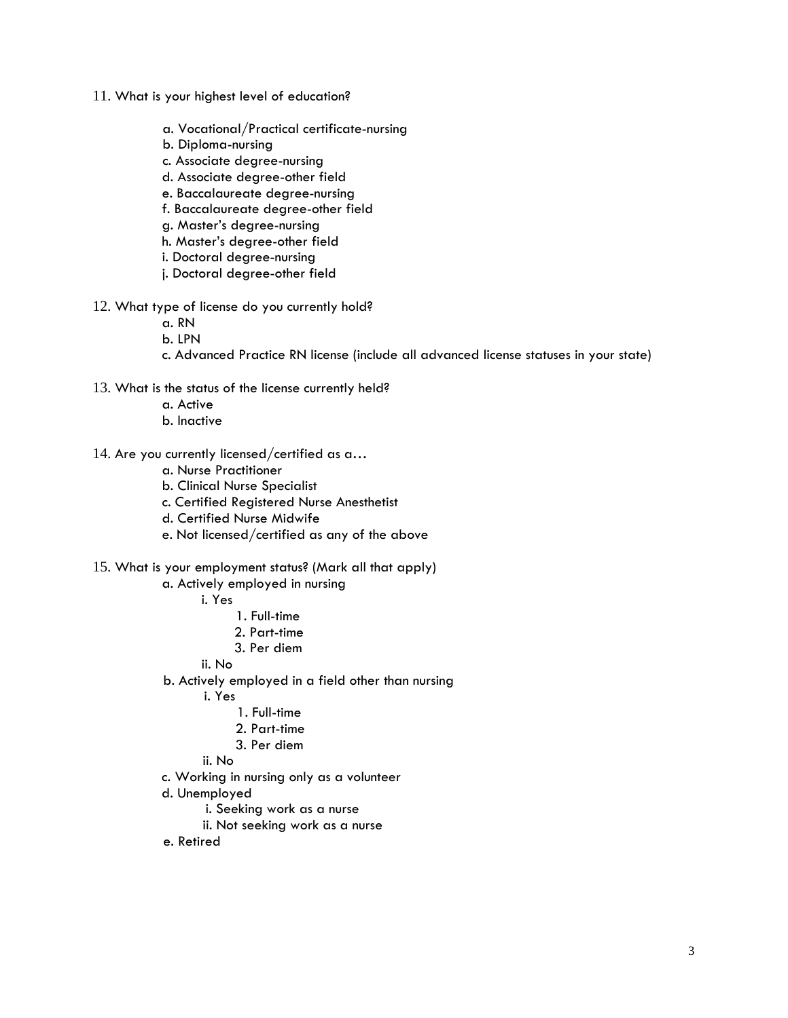- 11. What is your highest level of education?
	- a. Vocational/Practical certificate-nursing
	- b. Diploma-nursing
	- c. Associate degree-nursing
	- d. Associate degree-other field
	- e. Baccalaureate degree-nursing
	- f. Baccalaureate degree-other field
	- g. Master's degree-nursing
	- h. Master's degree-other field
	- i. Doctoral degree-nursing
	- j. Doctoral degree-other field
- 12. What type of license do you currently hold?
	- a. RN
	- b. LPN
	- c. Advanced Practice RN license (include all advanced license statuses in your state)
- 13. What is the status of the license currently held?
	- a. Active
	- b. Inactive
- 14. Are you currently licensed/certified as a…
	- a. Nurse Practitioner
	- b. Clinical Nurse Specialist
	- c. Certified Registered Nurse Anesthetist
	- d. Certified Nurse Midwife
	- e. Not licensed/certified as any of the above
- 15. What is your employment status? (Mark all that apply)
	- a. Actively employed in nursing
		- i. Yes
			- 1. Full-time
			- 2. Part-time
			- 3. Per diem
		- ii. No
	- b. Actively employed in a field other than nursing
		- i. Yes
			- 1. Full-time
			- 2. Part-time
			- 3. Per diem
		- ii. No
	- c. Working in nursing only as a volunteer
	- d. Unemployed
		- i. Seeking work as a nurse
		- ii. Not seeking work as a nurse
	- e. Retired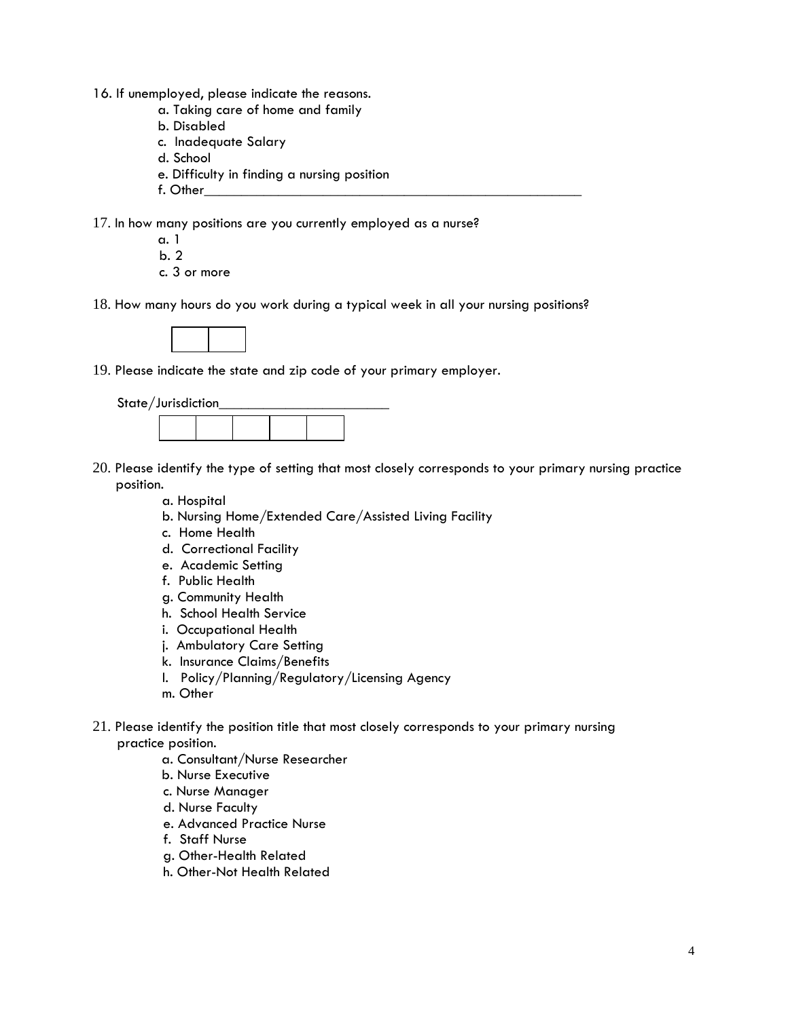- 16. If unemployed, please indicate the reasons.
	- a. Taking care of home and family
	- b. Disabled
	- c. Inadequate Salary
	- d. School
	- e. Difficulty in finding a nursing position
	- f. Other\_\_\_\_\_\_\_\_\_\_\_\_\_\_\_\_\_\_\_\_\_\_\_\_\_\_\_\_\_\_\_\_\_\_\_\_\_\_\_\_\_\_\_\_\_\_\_\_\_\_\_

17. In how many positions are you currently employed as a nurse?

- a. 1 b. 2 c. 3 or more
- 18. How many hours do you work during a typical week in all your nursing positions?



19. Please indicate the state and zip code of your primary employer.

| State/Jurisdiction |  |  |  |  |  |  |
|--------------------|--|--|--|--|--|--|
|                    |  |  |  |  |  |  |

- 20. Please identify the type of setting that most closely corresponds to your primary nursing practice position.
	- a. Hospital
	- b. Nursing Home/Extended Care/Assisted Living Facility
	- c. Home Health
	- d. Correctional Facility
	- e. Academic Setting
	- f. Public Health
	- g. Community Health
	- h. School Health Service
	- i. Occupational Health
	- j. Ambulatory Care Setting
	- k. Insurance Claims/Benefits
	- l. Policy/Planning/Regulatory/Licensing Agency
	- m. Other
- 21. Please identify the position title that most closely corresponds to your primary nursing practice position.
	- a. Consultant/Nurse Researcher
	- b. Nurse Executive
	- c. Nurse Manager
	- d. Nurse Faculty
	- e. Advanced Practice Nurse
	- f. Staff Nurse
	- g. Other-Health Related
	- h. Other-Not Health Related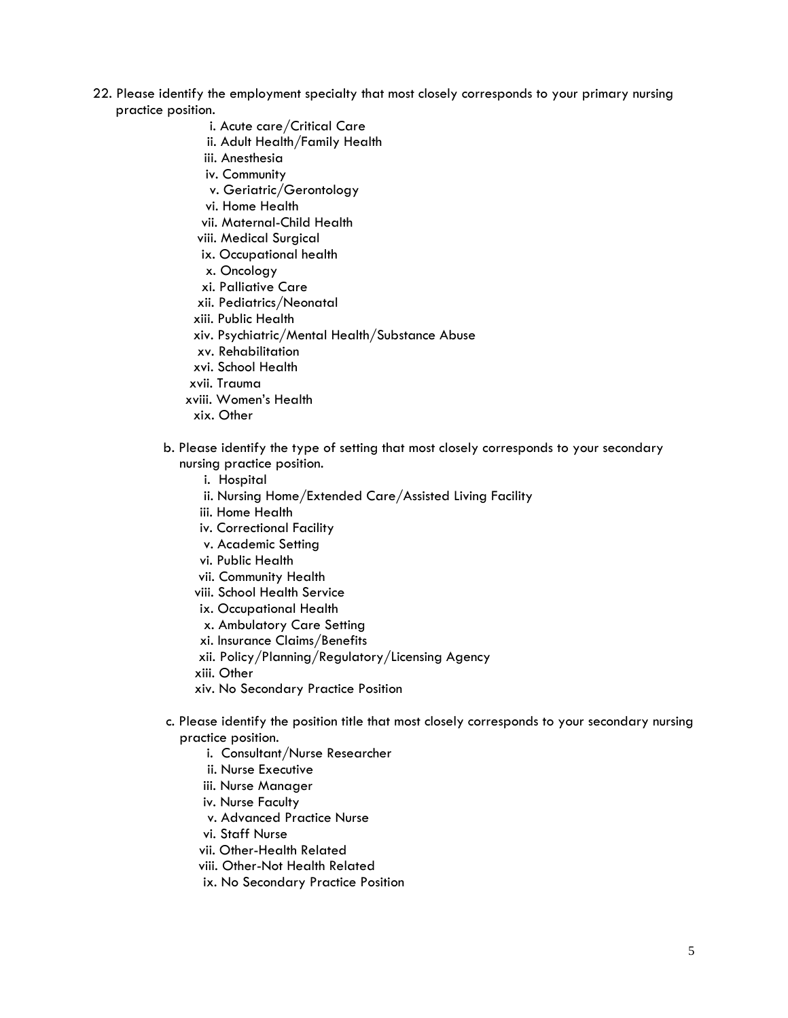- 22. Please identify the employment specialty that most closely corresponds to your primary nursing practice position.
	- i. Acute care/Critical Care
	- ii. Adult Health/Family Health
	- iii. Anesthesia
	- iv. Community
	- v. Geriatric/Gerontology
	- vi. Home Health
	- vii. Maternal-Child Health
	- viii. Medical Surgical
	- ix. Occupational health
	- x. Oncology
	- xi. Palliative Care
	- xii. Pediatrics/Neonatal
	- xiii. Public Health
	- xiv. Psychiatric/Mental Health/Substance Abuse
	- xv. Rehabilitation
	- xvi. School Health
	- xvii. Trauma
	- xviii. Women's Health
		- xix. Other
	- b. Please identify the type of setting that most closely corresponds to your secondary nursing practice position.
		- i. Hospital
		- ii. Nursing Home/Extended Care/Assisted Living Facility
		- iii. Home Health
		- iv. Correctional Facility
		- v. Academic Setting
		- vi. Public Health
		- vii. Community Health
		- viii. School Health Service
		- ix. Occupational Health
		- x. Ambulatory Care Setting
		- xi. Insurance Claims/Benefits
		- xii. Policy/Planning/Regulatory/Licensing Agency
		- xiii. Other
		- xiv. No Secondary Practice Position
	- c. Please identify the position title that most closely corresponds to your secondary nursing practice position.
		- i. Consultant/Nurse Researcher
		- ii. Nurse Executive
		- iii. Nurse Manager
		- iv. Nurse Faculty
		- v. Advanced Practice Nurse
		- vi. Staff Nurse
		- vii. Other-Health Related
		- viii. Other-Not Health Related
		- ix. No Secondary Practice Position